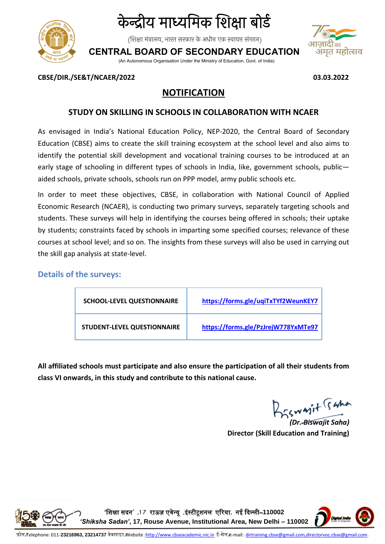

# के न्द्रीय माध्यममक शिक्षा बोर्ड

(शिक्षा मंत्रालय, भारत सरकार के अधीन एक स्वायत्त संगठन)

**CENTRAL BOARD OF SECONDARY EDUCATION**

(An Autonomous Organisation Under the Ministry of Education, Govt. of India)



**CBSE/DIR./SE&T/NCAER/2022 03.03.2022**

## **NOTIFICATION**

### **STUDY ON SKILLING IN SCHOOLS IN COLLABORATION WITH NCAER**

As envisaged in India's National Education Policy, NEP-2020, the Central Board of Secondary Education (CBSE) aims to create the skill training ecosystem at the school level and also aims to identify the potential skill development and vocational training courses to be introduced at an early stage of schooling in different types of schools in India, like, government schools, publicaided schools, private schools, schools run on PPP model, army public schools etc.

In order to meet these objectives, CBSE, in collaboration with National Council of Applied Economic Research (NCAER), is conducting two primary surveys, separately targeting schools and students. These surveys will help in identifying the courses being offered in schools; their uptake by students; constraints faced by schools in imparting some specified courses; relevance of these courses at school level; and so on. The insights from these surveys will also be used in carrying out the skill gap analysis at state-level.

#### **Details of the surveys:**

| <b>SCHOOL-LEVEL QUESTIONNAIRE</b> | https://forms.gle/uqiTxTYf2WeunKEY7 |
|-----------------------------------|-------------------------------------|
| STUDENT-LEVEL QUESTIONNAIRE       | https://forms.gle/PzJrejW778YxMTe97 |

**All affiliated schools must participate and also ensure the participation of all their students from class VI onwards, in this study and contribute to this national cause.**

BESWAIT Sama

*(Dr. Biswajit Saha)* **Director (Skill Education and Training)**



**'**शिक्षा सदन**' ,1 7** राऊज़ एवेन्यू **,**इंस्टीटूिनल एररया**,** नई ददल्ली–**110002** 

*'Shiksha Sadan'***, 17, Rouse Avenue, Institutional Area, New Delhi – 110002**